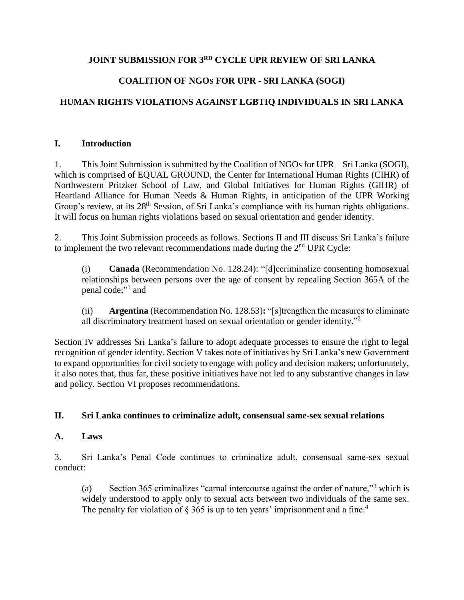### **JOINT SUBMISSION FOR 3RD CYCLE UPR REVIEW OF SRI LANKA**

# **COALITION OF NGOS FOR UPR - SRI LANKA (SOGI)**

# **HUMAN RIGHTS VIOLATIONS AGAINST LGBTIQ INDIVIDUALS IN SRI LANKA**

#### **I. Introduction**

1. This Joint Submission is submitted by the Coalition of NGOs for UPR – Sri Lanka (SOGI), which is comprised of EQUAL GROUND, the Center for International Human Rights (CIHR) of Northwestern Pritzker School of Law, and Global Initiatives for Human Rights (GIHR) of Heartland Alliance for Human Needs & Human Rights, in anticipation of the UPR Working Group's review, at its 28<sup>th</sup> Session, of Sri Lanka's compliance with its human rights obligations. It will focus on human rights violations based on sexual orientation and gender identity.

2. This Joint Submission proceeds as follows. Sections II and III discuss Sri Lanka's failure to implement the two relevant recommendations made during the  $2<sup>nd</sup>$  UPR Cycle:

(i) **Canada** (Recommendation No. 128.24): "[d]ecriminalize consenting homosexual relationships between persons over the age of consent by repealing Section 365A of the penal code;"<sup>1</sup> and

(ii) **Argentina** (Recommendation No. 128.53)**:** "[s]trengthen the measures to eliminate all discriminatory treatment based on sexual orientation or gender identity."<sup>2</sup>

Section IV addresses Sri Lanka's failure to adopt adequate processes to ensure the right to legal recognition of gender identity. Section V takes note of initiatives by Sri Lanka's new Government to expand opportunities for civil society to engage with policy and decision makers; unfortunately, it also notes that, thus far, these positive initiatives have not led to any substantive changes in law and policy. Section VI proposes recommendations.

#### **II. Sri Lanka continues to criminalize adult, consensual same-sex sexual relations**

#### **A. Laws**

3. Sri Lanka's Penal Code continues to criminalize adult, consensual same-sex sexual conduct:

(a) Section 365 criminalizes "carnal intercourse against the order of nature,"<sup>3</sup> which is widely understood to apply only to sexual acts between two individuals of the same sex. The penalty for violation of  $\S$  365 is up to ten years' imprisonment and a fine.<sup>4</sup>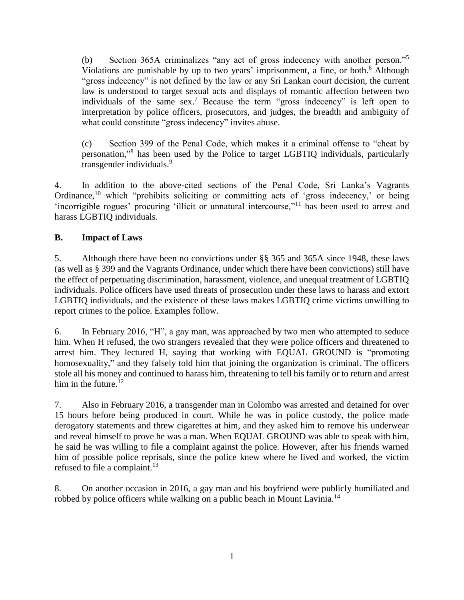(b) Section 365A criminalizes "any act of gross indecency with another person." 5 Violations are punishable by up to two years' imprisonment, a fine, or both. <sup>6</sup> Although "gross indecency" is not defined by the law or any Sri Lankan court decision, the current law is understood to target sexual acts and displays of romantic affection between two individuals of the same sex.<sup>7</sup> Because the term "gross indecency" is left open to interpretation by police officers, prosecutors, and judges, the breadth and ambiguity of what could constitute "gross indecency" invites abuse.

(c) Section 399 of the Penal Code, which makes it a criminal offense to "cheat by personation," 8 has been used by the Police to target LGBTIQ individuals, particularly transgender individuals.<sup>9</sup>

4. In addition to the above-cited sections of the Penal Code, Sri Lanka's Vagrants Ordinance,<sup>10</sup> which "prohibits soliciting or committing acts of 'gross indecency,' or being 'incorrigible rogues' procuring 'illicit or unnatural intercourse,"<sup>11</sup> has been used to arrest and harass LGBTIQ individuals.

### **B. Impact of Laws**

5. Although there have been no convictions under §§ 365 and 365A since 1948, these laws (as well as § 399 and the Vagrants Ordinance, under which there have been convictions) still have the effect of perpetuating discrimination, harassment, violence, and unequal treatment of LGBTIQ individuals. Police officers have used threats of prosecution under these laws to harass and extort LGBTIQ individuals, and the existence of these laws makes LGBTIQ crime victims unwilling to report crimes to the police. Examples follow.

6. In February 2016, "H", a gay man, was approached by two men who attempted to seduce him. When H refused, the two strangers revealed that they were police officers and threatened to arrest him. They lectured H, saying that working with EQUAL GROUND is "promoting homosexuality," and they falsely told him that joining the organization is criminal. The officers stole all his money and continued to harass him, threatening to tell his family or to return and arrest him in the future.<sup>12</sup>

7. Also in February 2016, a transgender man in Colombo was arrested and detained for over 15 hours before being produced in court. While he was in police custody, the police made derogatory statements and threw cigarettes at him, and they asked him to remove his underwear and reveal himself to prove he was a man. When EQUAL GROUND was able to speak with him, he said he was willing to file a complaint against the police. However, after his friends warned him of possible police reprisals, since the police knew where he lived and worked, the victim refused to file a complaint.<sup>13</sup>

8. On another occasion in 2016, a gay man and his boyfriend were publicly humiliated and robbed by police officers while walking on a public beach in Mount Lavinia.<sup>14</sup>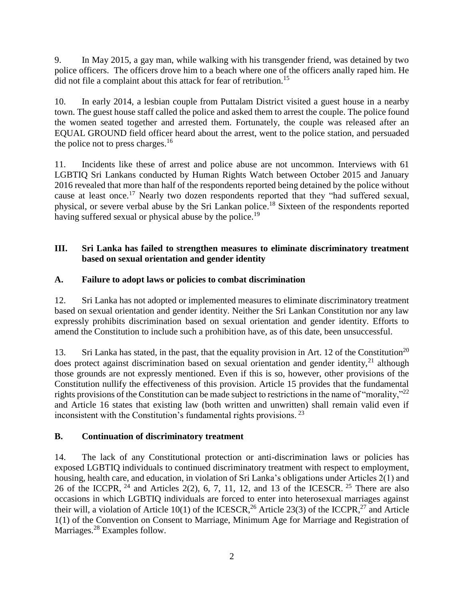9. In May 2015, a gay man, while walking with his transgender friend, was detained by two police officers. The officers drove him to a beach where one of the officers anally raped him. He did not file a complaint about this attack for fear of retribution.<sup>15</sup>

10. In early 2014, a lesbian couple from Puttalam District visited a guest house in a nearby town. The guest house staff called the police and asked them to arrest the couple. The police found the women seated together and arrested them. Fortunately, the couple was released after an EQUAL GROUND field officer heard about the arrest, went to the police station, and persuaded the police not to press charges. $^{16}$ 

11. Incidents like these of arrest and police abuse are not uncommon. Interviews with 61 LGBTIQ Sri Lankans conducted by Human Rights Watch between October 2015 and January 2016 revealed that more than half of the respondents reported being detained by the police without cause at least once.<sup>17</sup> Nearly two dozen respondents reported that they "had suffered sexual, physical, or severe verbal abuse by the Sri Lankan police.<sup>18</sup> Sixteen of the respondents reported having suffered sexual or physical abuse by the police.<sup>19</sup>

### **III. Sri Lanka has failed to strengthen measures to eliminate discriminatory treatment based on sexual orientation and gender identity**

### **A. Failure to adopt laws or policies to combat discrimination**

12. Sri Lanka has not adopted or implemented measures to eliminate discriminatory treatment based on sexual orientation and gender identity. Neither the Sri Lankan Constitution nor any law expressly prohibits discrimination based on sexual orientation and gender identity. Efforts to amend the Constitution to include such a prohibition have, as of this date, been unsuccessful.

13. Sri Lanka has stated, in the past, that the equality provision in Art. 12 of the Constitution<sup>20</sup> does protect against discrimination based on sexual orientation and gender identity,  $21$  although those grounds are not expressly mentioned. Even if this is so, however, other provisions of the Constitution nullify the effectiveness of this provision. Article 15 provides that the fundamental rights provisions of the Constitution can be made subject to restrictions in the name of "morality,"<sup>22</sup> and Article 16 states that existing law (both written and unwritten) shall remain valid even if inconsistent with the Constitution's fundamental rights provisions. <sup>23</sup>

## **B. Continuation of discriminatory treatment**

14. The lack of any Constitutional protection or anti-discrimination laws or policies has exposed LGBTIQ individuals to continued discriminatory treatment with respect to employment, housing, health care, and education, in violation of Sri Lanka's obligations under Articles 2(1) and 26 of the ICCPR,  $^{24}$  and Articles 2(2), 6, 7, 11, 12, and 13 of the ICESCR.  $^{25}$  There are also occasions in which LGBTIQ individuals are forced to enter into heterosexual marriages against their will, a violation of Article 10(1) of the ICESCR,  $^{26}$  Article 23(3) of the ICCPR,  $^{27}$  and Article 1(1) of the Convention on Consent to Marriage, Minimum Age for Marriage and Registration of Marriages.<sup>28</sup> Examples follow.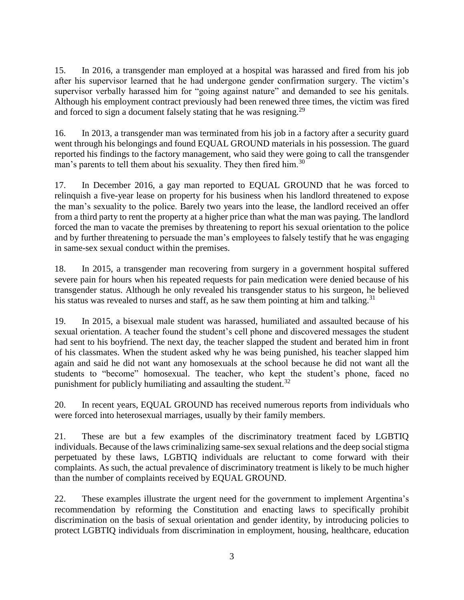15. In 2016, a transgender man employed at a hospital was harassed and fired from his job after his supervisor learned that he had undergone gender confirmation surgery. The victim's supervisor verbally harassed him for "going against nature" and demanded to see his genitals. Although his employment contract previously had been renewed three times, the victim was fired and forced to sign a document falsely stating that he was resigning.<sup>29</sup>

16. In 2013, a transgender man was terminated from his job in a factory after a security guard went through his belongings and found EQUAL GROUND materials in his possession. The guard reported his findings to the factory management, who said they were going to call the transgender man's parents to tell them about his sexuality. They then fired him.<sup>30</sup>

17. In December 2016, a gay man reported to EQUAL GROUND that he was forced to relinquish a five-year lease on property for his business when his landlord threatened to expose the man's sexuality to the police. Barely two years into the lease, the landlord received an offer from a third party to rent the property at a higher price than what the man was paying. The landlord forced the man to vacate the premises by threatening to report his sexual orientation to the police and by further threatening to persuade the man's employees to falsely testify that he was engaging in same-sex sexual conduct within the premises.

18. In 2015, a transgender man recovering from surgery in a government hospital suffered severe pain for hours when his repeated requests for pain medication were denied because of his transgender status. Although he only revealed his transgender status to his surgeon, he believed his status was revealed to nurses and staff, as he saw them pointing at him and talking.<sup>31</sup>

19. In 2015, a bisexual male student was harassed, humiliated and assaulted because of his sexual orientation. A teacher found the student's cell phone and discovered messages the student had sent to his boyfriend. The next day, the teacher slapped the student and berated him in front of his classmates. When the student asked why he was being punished, his teacher slapped him again and said he did not want any homosexuals at the school because he did not want all the students to "become" homosexual. The teacher, who kept the student's phone, faced no punishment for publicly humiliating and assaulting the student.<sup>32</sup>

20. In recent years, EQUAL GROUND has received numerous reports from individuals who were forced into heterosexual marriages, usually by their family members.

21. These are but a few examples of the discriminatory treatment faced by LGBTIQ individuals. Because of the laws criminalizing same-sex sexual relations and the deep social stigma perpetuated by these laws, LGBTIQ individuals are reluctant to come forward with their complaints. As such, the actual prevalence of discriminatory treatment is likely to be much higher than the number of complaints received by EQUAL GROUND.

22. These examples illustrate the urgent need for the government to implement Argentina's recommendation by reforming the Constitution and enacting laws to specifically prohibit discrimination on the basis of sexual orientation and gender identity, by introducing policies to protect LGBTIQ individuals from discrimination in employment, housing, healthcare, education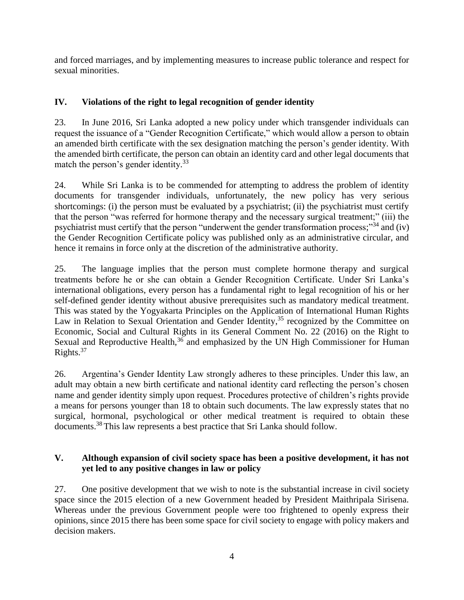and forced marriages, and by implementing measures to increase public tolerance and respect for sexual minorities.

## **IV. Violations of the right to legal recognition of gender identity**

23. In June 2016, Sri Lanka adopted a new policy under which transgender individuals can request the issuance of a "Gender Recognition Certificate," which would allow a person to obtain an amended birth certificate with the sex designation matching the person's gender identity. With the amended birth certificate, the person can obtain an identity card and other legal documents that match the person's gender identity.<sup>33</sup>

24. While Sri Lanka is to be commended for attempting to address the problem of identity documents for transgender individuals, unfortunately, the new policy has very serious shortcomings: (i) the person must be evaluated by a psychiatrist; (ii) the psychiatrist must certify that the person "was referred for hormone therapy and the necessary surgical treatment;" (iii) the psychiatrist must certify that the person "underwent the gender transformation process;"<sup>34</sup> and (iv) the Gender Recognition Certificate policy was published only as an administrative circular, and hence it remains in force only at the discretion of the administrative authority.

25. The language implies that the person must complete hormone therapy and surgical treatments before he or she can obtain a Gender Recognition Certificate. Under Sri Lanka's international obligations, every person has a fundamental right to legal recognition of his or her self-defined gender identity without abusive prerequisites such as mandatory medical treatment. This was stated by the Yogyakarta Principles on the Application of International Human Rights Law in Relation to Sexual Orientation and Gender Identity,<sup>35</sup> recognized by the Committee on Economic, Social and Cultural Rights in its General Comment No. 22 (2016) on the Right to Sexual and Reproductive Health, $36$  and emphasized by the UN High Commissioner for Human Rights. 37

26. Argentina's Gender Identity Law strongly adheres to these principles. Under this law, an adult may obtain a new birth certificate and national identity card reflecting the person's chosen name and gender identity simply upon request. Procedures protective of children's rights provide a means for persons younger than 18 to obtain such documents. The law expressly states that no surgical, hormonal, psychological or other medical treatment is required to obtain these documents.<sup>38</sup> This law represents a best practice that Sri Lanka should follow.

### **V. Although expansion of civil society space has been a positive development, it has not yet led to any positive changes in law or policy**

27. One positive development that we wish to note is the substantial increase in civil society space since the 2015 election of a new Government headed by President Maithripala Sirisena. Whereas under the previous Government people were too frightened to openly express their opinions, since 2015 there has been some space for civil society to engage with policy makers and decision makers.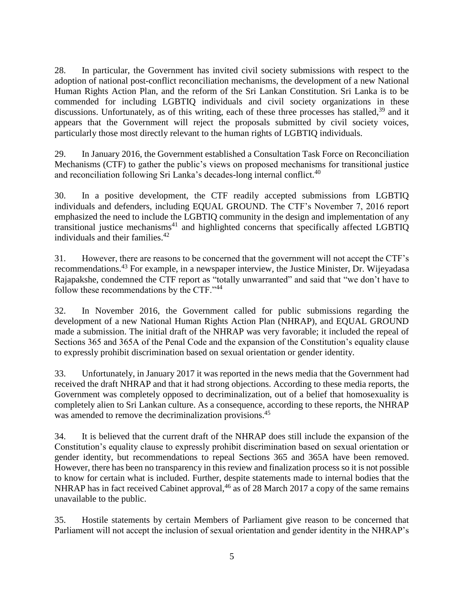28. In particular, the Government has invited civil society submissions with respect to the adoption of national post-conflict reconciliation mechanisms, the development of a new National Human Rights Action Plan, and the reform of the Sri Lankan Constitution. Sri Lanka is to be commended for including LGBTIQ individuals and civil society organizations in these discussions. Unfortunately, as of this writing, each of these three processes has stalled, $39$  and it appears that the Government will reject the proposals submitted by civil society voices, particularly those most directly relevant to the human rights of LGBTIQ individuals.

29. In January 2016, the Government established a Consultation Task Force on Reconciliation Mechanisms (CTF) to gather the public's views on proposed mechanisms for transitional justice and reconciliation following Sri Lanka's decades-long internal conflict.<sup>40</sup>

30. In a positive development, the CTF readily accepted submissions from LGBTIQ individuals and defenders, including EQUAL GROUND. The CTF's November 7, 2016 report emphasized the need to include the LGBTIQ community in the design and implementation of any transitional justice mechanisms<sup>41</sup> and highlighted concerns that specifically affected LGBTIQ individuals and their families.<sup>42</sup>

31. However, there are reasons to be concerned that the government will not accept the CTF's recommendations.<sup>43</sup> For example, in a newspaper interview, the Justice Minister, Dr. Wijeyadasa Rajapakshe, condemned the CTF report as "totally unwarranted" and said that "we don't have to follow these recommendations by the CTF."<sup>44</sup>

32. In November 2016, the Government called for public submissions regarding the development of a new National Human Rights Action Plan (NHRAP), and EQUAL GROUND made a submission. The initial draft of the NHRAP was very favorable; it included the repeal of Sections 365 and 365A of the Penal Code and the expansion of the Constitution's equality clause to expressly prohibit discrimination based on sexual orientation or gender identity.

33. Unfortunately, in January 2017 it was reported in the news media that the Government had received the draft NHRAP and that it had strong objections. According to these media reports, the Government was completely opposed to decriminalization, out of a belief that homosexuality is completely alien to Sri Lankan culture. As a consequence, according to these reports, the NHRAP was amended to remove the decriminalization provisions.<sup>45</sup>

34. It is believed that the current draft of the NHRAP does still include the expansion of the Constitution's equality clause to expressly prohibit discrimination based on sexual orientation or gender identity, but recommendations to repeal Sections 365 and 365A have been removed. However, there has been no transparency in this review and finalization process so it is not possible to know for certain what is included. Further, despite statements made to internal bodies that the NHRAP has in fact received Cabinet approval,  $46$  as of 28 March 2017 a copy of the same remains unavailable to the public.

35. Hostile statements by certain Members of Parliament give reason to be concerned that Parliament will not accept the inclusion of sexual orientation and gender identity in the NHRAP's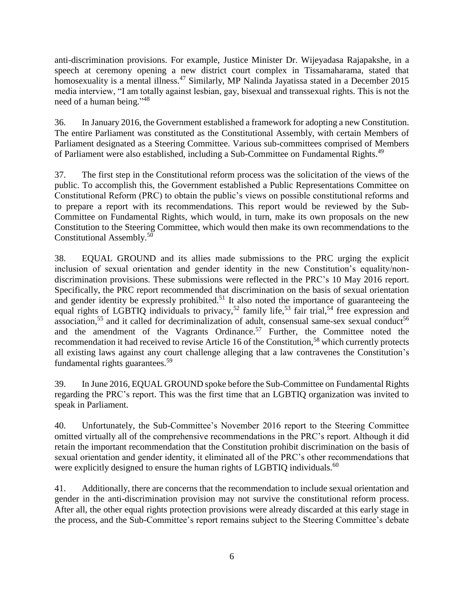anti-discrimination provisions. For example, Justice Minister Dr. Wijeyadasa Rajapakshe, in a speech at ceremony opening a new district court complex in Tissamaharama, stated that homosexuality is a mental illness.<sup>47</sup> Similarly, MP Nalinda Jayatissa stated in a December 2015 media interview, "I am totally against lesbian, gay, bisexual and transsexual rights. This is not the need of a human being."<sup>48</sup>

36. In January 2016, the Government established a framework for adopting a new Constitution. The entire Parliament was constituted as the Constitutional Assembly, with certain Members of Parliament designated as a Steering Committee. Various sub-committees comprised of Members of Parliament were also established, including a Sub-Committee on Fundamental Rights.<sup>49</sup>

37. The first step in the Constitutional reform process was the solicitation of the views of the public. To accomplish this, the Government established a Public Representations Committee on Constitutional Reform (PRC) to obtain the public's views on possible constitutional reforms and to prepare a report with its recommendations. This report would be reviewed by the Sub-Committee on Fundamental Rights, which would, in turn, make its own proposals on the new Constitution to the Steering Committee, which would then make its own recommendations to the Constitutional Assembly.<sup>50</sup>

38. EQUAL GROUND and its allies made submissions to the PRC urging the explicit inclusion of sexual orientation and gender identity in the new Constitution's equality/nondiscrimination provisions. These submissions were reflected in the PRC's 10 May 2016 report. Specifically, the PRC report recommended that discrimination on the basis of sexual orientation and gender identity be expressly prohibited.<sup>51</sup> It also noted the importance of guaranteeing the equal rights of LGBTIQ individuals to privacy,<sup>52</sup> family life,<sup>53</sup> fair trial,<sup>54</sup> free expression and association,<sup>55</sup> and it called for decriminalization of adult, consensual same-sex sexual conduct<sup>56</sup> and the amendment of the Vagrants Ordinance.<sup>57</sup> Further, the Committee noted the recommendation it had received to revise Article 16 of the Constitution,<sup>58</sup> which currently protects all existing laws against any court challenge alleging that a law contravenes the Constitution's fundamental rights guarantees.<sup>59</sup>

39. In June 2016, EQUAL GROUND spoke before the Sub-Committee on Fundamental Rights regarding the PRC's report. This was the first time that an LGBTIQ organization was invited to speak in Parliament.

40. Unfortunately, the Sub-Committee's November 2016 report to the Steering Committee omitted virtually all of the comprehensive recommendations in the PRC's report. Although it did retain the important recommendation that the Constitution prohibit discrimination on the basis of sexual orientation and gender identity, it eliminated all of the PRC's other recommendations that were explicitly designed to ensure the human rights of LGBTIO individuals.<sup>60</sup>

41. Additionally, there are concerns that the recommendation to include sexual orientation and gender in the anti-discrimination provision may not survive the constitutional reform process. After all, the other equal rights protection provisions were already discarded at this early stage in the process, and the Sub-Committee's report remains subject to the Steering Committee's debate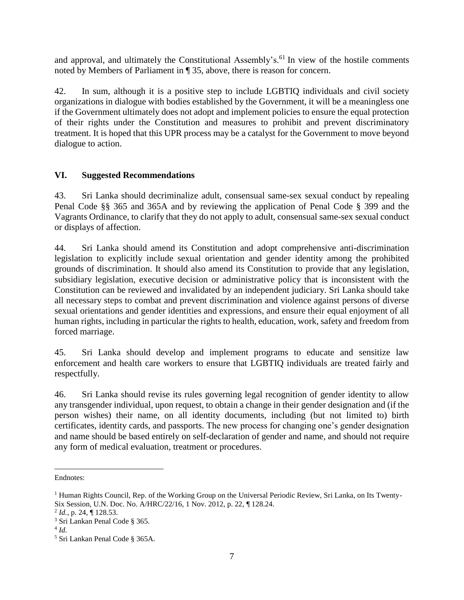and approval, and ultimately the Constitutional Assembly's.<sup>61</sup> In view of the hostile comments noted by Members of Parliament in ¶ 35, above, there is reason for concern.

42. In sum, although it is a positive step to include LGBTIQ individuals and civil society organizations in dialogue with bodies established by the Government, it will be a meaningless one if the Government ultimately does not adopt and implement policies to ensure the equal protection of their rights under the Constitution and measures to prohibit and prevent discriminatory treatment. It is hoped that this UPR process may be a catalyst for the Government to move beyond dialogue to action.

#### **VI. Suggested Recommendations**

43. Sri Lanka should decriminalize adult, consensual same-sex sexual conduct by repealing Penal Code §§ 365 and 365A and by reviewing the application of Penal Code § 399 and the Vagrants Ordinance, to clarify that they do not apply to adult, consensual same-sex sexual conduct or displays of affection.

44. Sri Lanka should amend its Constitution and adopt comprehensive anti-discrimination legislation to explicitly include sexual orientation and gender identity among the prohibited grounds of discrimination. It should also amend its Constitution to provide that any legislation, subsidiary legislation, executive decision or administrative policy that is inconsistent with the Constitution can be reviewed and invalidated by an independent judiciary. Sri Lanka should take all necessary steps to combat and prevent discrimination and violence against persons of diverse sexual orientations and gender identities and expressions, and ensure their equal enjoyment of all human rights, including in particular the rights to health, education, work, safety and freedom from forced marriage.

45. Sri Lanka should develop and implement programs to educate and sensitize law enforcement and health care workers to ensure that LGBTIQ individuals are treated fairly and respectfully.

46. Sri Lanka should revise its rules governing legal recognition of gender identity to allow any transgender individual, upon request, to obtain a change in their gender designation and (if the person wishes) their name, on all identity documents, including (but not limited to) birth certificates, identity cards, and passports. The new process for changing one's gender designation and name should be based entirely on self-declaration of gender and name, and should not require any form of medical evaluation, treatment or procedures.

Endnotes:  $\overline{a}$ 

<sup>&</sup>lt;sup>1</sup> Human Rights Council, Rep. of the Working Group on the Universal Periodic Review, Sri Lanka, on Its Twenty-Six Session, U.N. Doc. No. A/HRC/22/16, 1 Nov. 2012, p. 22, ¶ 128.24.

<sup>2</sup> *Id.*, p. 24, ¶ 128.53.

<sup>3</sup> Sri Lankan Penal Code § 365.

<sup>4</sup> *Id.*

<sup>5</sup> Sri Lankan Penal Code § 365A.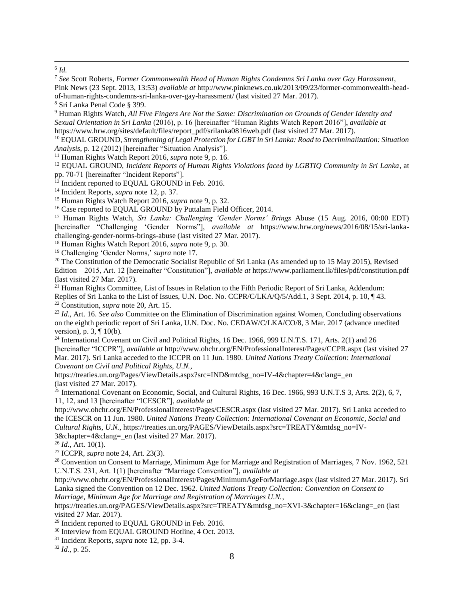$\overline{a}$ 6 *Id.*

<sup>7</sup> *See* Scott Roberts, *Former Commonwealth Head of Human Rights Condemns Sri Lanka over Gay Harassment*,

https://treaties.un.org/Pages/ViewDetails.aspx?src=IND&mtdsg\_no=IV-4&chapter=4&clang=\_en (last visited 27 Mar. 2017).

 $^{25}$  International Covenant on Economic, Social, and Cultural Rights, 16 Dec. 1966, 993 U.N.T.S 3, Arts. 2(2), 6, 7, 11, 12, and 13 [hereinafter "ICESCR"], *available at* 

http://www.ohchr.org/EN/ProfessionalInterest/Pages/CESCR.aspx (last visited 27 Mar. 2017). Sri Lanka acceded to the ICESCR on 11 Jun. 1980. *United Nations Treaty Collection: International Covenant on Economic, Social and Cultural Rights, U.N.*, https://treaties.un.org/PAGES/ViewDetails.aspx?src=TREATY&mtdsg\_no=IV-3&chapter=4&clang= en (last visited 27 Mar. 2017).

<sup>26</sup> *Id.*, Art. 10(1).

<sup>27</sup> ICCPR, *supra* note 24, Art. 23(3).

<sup>28</sup> Convention on Consent to Marriage, Minimum Age for Marriage and Registration of Marriages, 7 Nov. 1962, 521 U.N.T.S. 231, Art. 1(1) [hereinafter "Marriage Convention"], *available at*

http://www.ohchr.org/EN/ProfessionalInterest/Pages/MinimumAgeForMarriage.aspx (last visited 27 Mar. 2017). Sri Lanka signed the Convention on 12 Dec. 1962. *United Nations Treaty Collection: Convention on Consent to Marriage, Minimum Age for Marriage and Registration of Marriages U.N.*,

https://treaties.un.org/PAGES/ViewDetails.aspx?src=TREATY&mtdsg\_no=XVI-3&chapter=16&clang=\_en (last visited 27 Mar. 2017).

<sup>29</sup> Incident reported to EQUAL GROUND in Feb. 2016.

<sup>30</sup> Interview from EQUAL GROUND Hotline, 4 Oct. 2013.

<sup>32</sup> *Id.*, p. 25.

Pink News (23 Sept. 2013, 13:53) *available at* http://www.pinknews.co.uk/2013/09/23/former-commonwealth-headof-human-rights-condemns-sri-lanka-over-gay-harassment/ (last visited 27 Mar. 2017). <sup>8</sup> Sri Lanka Penal Code § 399. <sup>9</sup> Human Rights Watch, *All Five Fingers Are Not the Same: Discrimination on Grounds of Gender Identity and Sexual Orientation in Sri Lanka* (2016), p. 16 [hereinafter "Human Rights Watch Report 2016"], *available at*  https://www.hrw.org/sites/default/files/report\_pdf/srilanka0816web.pdf (last visited 27 Mar. 2017). <sup>10</sup> EQUAL GROUND, *Strengthening of Legal Protection for LGBT in Sri Lanka: Road to Decriminalization: Situation Analysis*, p. 12 (2012) [hereinafter "Situation Analysis"]. <sup>11</sup> Human Rights Watch Report 2016, *supra* note 9, p. 16. <sup>12</sup> EQUAL GROUND, *Incident Reports of Human Rights Violations faced by LGBTIQ Community in Sri Lanka*, at pp. 70-71 [hereinafter "Incident Reports"]. <sup>13</sup> Incident reported to EQUAL GROUND in Feb. 2016. <sup>14</sup> Incident Reports, *supra* note 12, p. 37. <sup>15</sup> Human Rights Watch Report 2016, *supra* note 9, p. 32. <sup>16</sup> Case reported to EQUAL GROUND by Puttalam Field Officer, 2014. <sup>17</sup> Human Rights Watch, *Sri Lanka: Challenging 'Gender Norms' Brings* Abuse (15 Aug. 2016, 00:00 EDT) [hereinafter "Challenging 'Gender Norms"], *available at* https://www.hrw.org/news/2016/08/15/sri-lankachallenging-gender-norms-brings-abuse (last visited 27 Mar. 2017). <sup>18</sup> Human Rights Watch Report 2016, *supra* note 9, p. 30. <sup>19</sup> Challenging 'Gender Norms,' *supra* note 17. <sup>20</sup> The Constitution of the Democratic Socialist Republic of Sri Lanka (As amended up to 15 May 2015), Revised Edition – 2015, Art. 12 [hereinafter "Constitution"], *available at* https://www.parliament.lk/files/pdf/constitution.pdf (last visited 27 Mar. 2017). <sup>21</sup> Human Rights Committee, List of Issues in Relation to the Fifth Periodic Report of Sri Lanka, Addendum: Replies of Sri Lanka to the List of Issues, U.N. Doc. No. CCPR/C/LKA/Q/5/Add.1, 3 Sept. 2014, p. 10, ¶ 43. <sup>22</sup> Constitution, *supra* note 20, Art. 15. <sup>23</sup> *Id.*, Art. 16. *See also* Committee on the Elimination of Discrimination against Women, Concluding observations on the eighth periodic report of Sri Lanka, U.N. Doc. No. CEDAW/C/LKA/CO/8, 3 Mar. 2017 (advance unedited version), p. 3, ¶ 10(b). <sup>24</sup> International Covenant on Civil and Political Rights, 16 Dec. 1966, 999 U.N.T.S. 171, Arts. 2(1) and 26 [hereinafter "ICCPR"], *available at* http://www.ohchr.org/EN/ProfessionalInterest/Pages/CCPR.aspx (last visited 27 Mar. 2017). Sri Lanka acceded to the ICCPR on 11 Jun. 1980. *United Nations Treaty Collection: International Covenant on Civil and Political Rights, U.N.*,

<sup>31</sup> Incident Reports, *supra* note 12, pp. 3-4.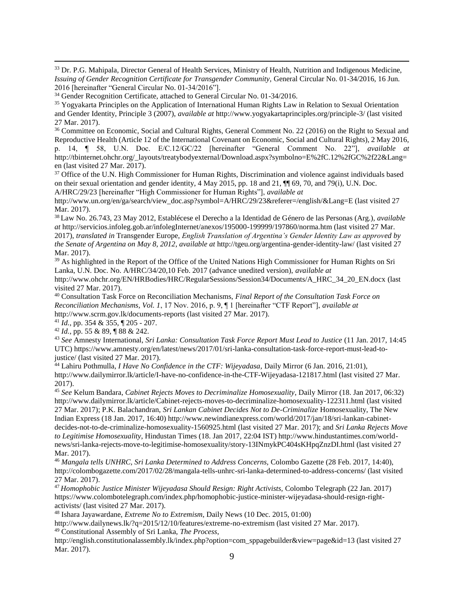<sup>33</sup> Dr. P.G. Mahipala, Director General of Health Services, Ministry of Health, Nutrition and Indigenous Medicine, *Issuing of Gender Recognition Certificate for Transgender Community,* General Circular No. 01-34/2016, 16 Jun. 2016 [hereinafter "General Circular No. 01-34/2016"].

<sup>36</sup> Committee on Economic, Social and Cultural Rights, General Comment No. 22 (2016) on the Right to Sexual and Reproductive Health (Article 12 of the International Covenant on Economic, Social and Cultural Rights), 2 May 2016,

p. 14, ¶ 58, U.N. Doc. E/C.12/GC/22 [hereinafter "General Comment No. 22"], *available at* http://tbinternet.ohchr.org/\_layouts/treatybodyexternal/Download.aspx?symbolno=E%2fC.12%2fGC%2f22&Lang= en (last visited 27 Mar. 2017).

<sup>37</sup> Office of the U.N. High Commissioner for Human Rights, Discrimination and violence against individuals based on their sexual orientation and gender identity, 4 May 2015, pp. 18 and 21, ¶¶ 69, 70, and 79(i), U.N. Doc. A/HRC/29/23 [hereinafter "High Commissioner for Human Rights"], *available at*

http://www.un.org/en/ga/search/view\_doc.asp?symbol=A/HRC/29/23&referer=/english/&Lang=E (last visited 27 Mar. 2017).

<sup>38</sup> Law No. 26.743, 23 May 2012, Establécese el Derecho a la Identidad de Género de las Personas (Arg.), *available at* http://servicios.infoleg.gob.ar/infolegInternet/anexos/195000-199999/197860/norma.htm (last visited 27 Mar. 2017), *translated in* Transgender Europe, *English Translation of Argentina's Gender Identity Law as approved by the Senate of Argentina on May 8, 2012*, *available at* http://tgeu.org/argentina-gender-identity-law/ (last visited 27 Mar. 2017).

<sup>39</sup> As highlighted in the Report of the Office of the United Nations High Commissioner for Human Rights on Sri Lanka, U.N. Doc. No. A/HRC/34/20,10 Feb. 2017 (advance unedited version), *available at* http://www.ohchr.org/EN/HRBodies/HRC/RegularSessions/Session34/Documents/A\_HRC\_34\_20\_EN.docx (last

visited 27 Mar. 2017).

 $\overline{a}$ 

<sup>40</sup> Consultation Task Force on Reconciliation Mechanisms, *Final Report of the Consultation Task Force on Reconciliation Mechanisms, Vol. 1*, 17 Nov. 2016, p. 9, ¶ 1 [hereinafter "CTF Report"], *available at*  http://www.scrm.gov.lk/documents-reports (last visited 27 Mar. 2017).

<sup>41</sup> *Id.*, pp. 354 & 355, ¶ 205 - 207.

<sup>42</sup> *Id.*, pp. 55 & 89, ¶ 88 & 242.

<sup>43</sup> *See* Amnesty International, *Sri Lanka: Consultation Task Force Report Must Lead to Justice* (11 Jan. 2017, 14:45 UTC) https://www.amnesty.org/en/latest/news/2017/01/sri-lanka-consultation-task-force-report-must-lead-tojustice/ (last visited 27 Mar. 2017).

<sup>44</sup> Lahiru Pothmulla, *I Have No Confidence in the CTF: Wijeyadasa,* Daily Mirror (6 Jan. 2016, 21:01), http://www.dailymirror.lk/article/I-have-no-confidence-in-the-CTF-Wijeyadasa-121817.html (last visited 27 Mar. 2017).

<sup>45</sup> *See* Kelum Bandara, *Cabinet Rejects Moves to Decriminalize Homosexuality*, Daily Mirror (18. Jan 2017, 06:32) http://www.dailymirror.lk/article/Cabinet-rejects-moves-to-decriminalize-homosexuality-122311.html (last visited 27 Mar. 2017); P.K. Balachandran, *Sri Lankan Cabinet Decides Not to De-Criminalize* Homosexuality, The New Indian Express (18 Jan. 2017, 16:40) http://www.newindianexpress.com/world/2017/jan/18/sri-lankan-cabinetdecides-not-to-de-criminalize-homosexuality-1560925.html (last visited 27 Mar. 2017); and *Sri Lanka Rejects Move to Legitimise Homosexuality*, Hindustan Times (18. Jan 2017, 22:04 IST) http://www.hindustantimes.com/worldnews/sri-lanka-rejects-move-to-legitimise-homosexuality/story-13INmykPC404sKHpqZnzDI.html (last visited 27 Mar. 2017).

<sup>46</sup> *Mangala tells UNHRC, Sri Lanka Determined to Address Concerns,* Colombo Gazette (28 Feb. 2017, 14:40), http://colombogazette.com/2017/02/28/mangala-tells-unhrc-sri-lanka-determined-to-address-concerns/ (last visited 27 Mar. 2017).

<sup>47</sup> *Homophobic Justice Minister Wijeyadasa Should Resign: Right Activists,* Colombo Telegraph (22 Jan. 2017) [https://www.colombotelegraph.com/index.php/homophobic-justice-minister-wijeyadasa-should-resign-right](https://www.colombotelegraph.com/index.php/homophobic-justice-minister-wijeyadasa-should-resign-right-activists/)[activists/](https://www.colombotelegraph.com/index.php/homophobic-justice-minister-wijeyadasa-should-resign-right-activists/) (last visited 27 Mar. 2017).

<sup>48</sup> Ishara Jayawardane, *Extreme No to Extremism*, Daily News (10 Dec. 2015, 01:00)

http://www.dailynews.lk/?q=2015/12/10/features/extreme-no-extremism (last visited 27 Mar. 2017). <sup>49</sup> Constitutional Assembly of Sri Lanka, *The Process*,

http://english.constitutionalassembly.lk/index.php?option=com\_sppagebuilder&view=page&id=13 (last visited 27 Mar. 2017).

<sup>&</sup>lt;sup>34</sup> Gender Recognition Certificate, attached to General Circular No. 01-34/2016.

<sup>35</sup> Yogyakarta Principles on the Application of International Human Rights Law in Relation to Sexual Orientation and Gender Identity, Principle 3 (2007), *available at* http://www.yogyakartaprinciples.org/principle-3/ (last visited 27 Mar. 2017).